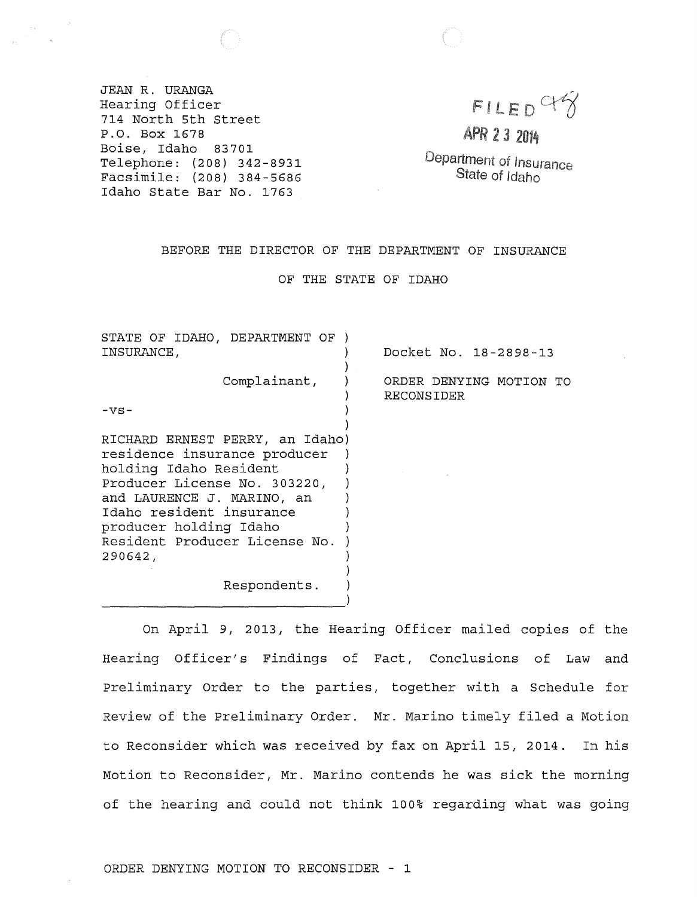JEAN R. URANGA Hearing Officer 714 North 5th street P.O. Box 1678 Boise, Idaho 83701 Telephone: (208) 342-8931 Facsimile: (208) 384-5686 Idaho state Bar No. 1763

 $FILED$ 

APR 2 3 2014

Department of Insurance State of Idaho

## BEFORE THE DIRECTOR OF THE DEPARTMENT OF INSURANCE

OF THE STATE OF IDAHO

STATE OF IDAHO, DEPARTMENT OF ) INSURANCE, ) ) Complainant, ) )  $- \nabla S -$  ) ) RICHARD ERNEST PERRY, an Idaho) residence insurance producer ) holding Idaho Resident Producer License No. 303220, and LAURENCE J. MARINO, an ) Idaho resident insurance ) producer holding Idaho ) Resident Producer License No. ) 290642, ) ) Respondents. ) -----------------------------) Docket No. 18-2898-13 ORDER DENYING MOTION TO RECONSIDER

On April 9, 2013, the Hearing Officer mailed copies of the Hearing Officer's Findings of Fact, Conclusions of Law and preliminary Order to the parties, together with a Schedule for Review of the Preliminary Order. Mr. Marino timely filed a Motion to Reconsider which was received by fax on April 15, 2014. In his Motion to Reconsider, Mr. Marino contends he was sick the morning of the hearing and could not think 100% regarding what was going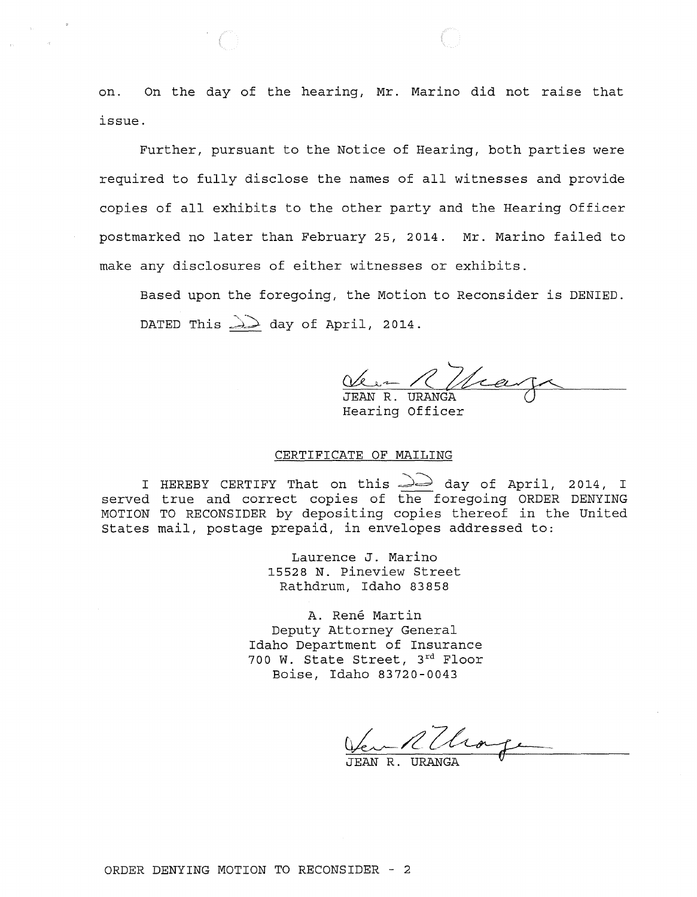on. On the day of the hearing, Mr. Marino did not raise that issue.

Further, pursuant to the Notice of Hearing, both parties were required to fully disclose the names of all witnesses and provide copies of all exhibits to the other party and the Hearing Officer postmarked no later than February 25, 2014. Mr. Marino failed to make any disclosures of either witnesses or exhibits.

Based upon the foregoing, the Motion to Reconsider is DENIED. DATED This  $\geq$  day of April, 2014.

Ver R Nica JEAN R. URANGA Hearing Officer

## CERTIFICATE OF MAILING

I HEREBY CERTIFY That on this  $\widehat{\triangle}$  day of April, 2014, I served true and correct copies of the foregoing ORDER DENYING MOTION TO RECONSIDER by depositing copies thereof in the United States mail, postage prepaid, in envelopes addressed to:

> Laurence J. Marino 15528 N. Pineview Street Rathdrum, Idaho 83858

A. Rene Martin Deputy Attorney General Idaho Department of Insurance 700 W. State Street, 3rd Floor Boise, Idaho 83720-0043

TEAN R.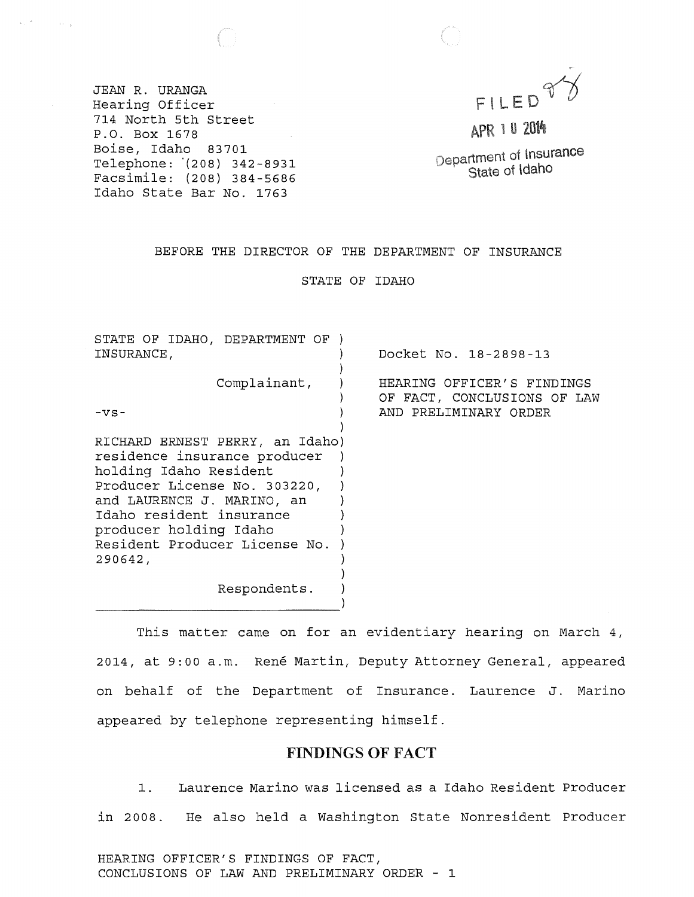

JEAN R. URANGA Hearing Officer  $\sim 10^{11}$ 714 North 5th street P.O. Box 1678 Boise, Idaho 83701 Telephone: '(208) 342-8931 Facsimile: (208) 384 - 56 86 Idaho State Bar No. 1763

 $\left\langle \psi_{\alpha}\right\rangle ^{\left( \alpha\right) }$  , where  $\left\langle \psi_{\alpha}\right\rangle _{L}$ 

APR 1 0 2014

Department of Insurance State of Idaho

## BEFORE THE DIRECTOR OF THE DEPARTMENT OF INSURANCE

STATE OF IDAHO

| INSURANCE,<br>Complainant,<br>-vs-                                                                                                                                                                                                                        | Docket No. 18-2898-13<br>HEARING OFFICER'S FINDINGS<br>OF FACT, CONCLUSIONS OF LAW<br>AND PRELIMINARY ORDER |
|-----------------------------------------------------------------------------------------------------------------------------------------------------------------------------------------------------------------------------------------------------------|-------------------------------------------------------------------------------------------------------------|
|                                                                                                                                                                                                                                                           |                                                                                                             |
|                                                                                                                                                                                                                                                           |                                                                                                             |
| RICHARD ERNEST PERRY, an Idaho)<br>residence insurance producer<br>holding Idaho Resident<br>Producer License No. 303220,<br>and LAURENCE J. MARINO, an<br>Idaho resident insurance<br>producer holding Idaho<br>Resident Producer License No.<br>290642, |                                                                                                             |
| Respondents.                                                                                                                                                                                                                                              |                                                                                                             |

This matter came on for an evidentiary hearing on March 4, 2014, at 9:00 a.m. René Martin, Deputy Attorney General, appeared on behalf of the Department of Insurance. Laurence J. Marino appeared by telephone representing himself.

# FINDINGS OF FACT

1. Laurence Marino was licensed as a Idaho Resident Producer in 2008. He also held a Washington State Nonresident Producer

HEARING OFFICER'S FINDINGS OF FACT, CONCLUSIONS OF LAW AND PRELIMINARY ORDER - 1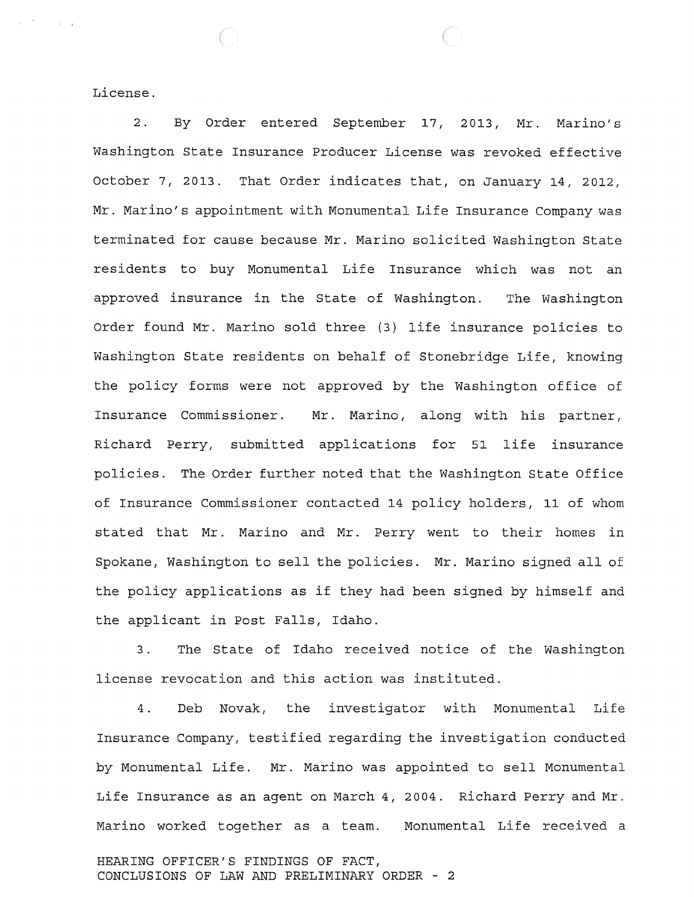License.

 $\label{eq:1} \mathbf{y} = \mathbf{y}^{\text{max}} \mathbf{y} + \mathbf{y} \mathbf{y} + \mathbf{y} \mathbf{y}$ 

2. By Order entered September 17, 2013, Mr. Marino's Washington State Insurance Producer License was revoked effective October 7, 2013. That Order indicates that, on January 14, 2012, Mr. Marino's appointment with Monumental Life Insurance Company was terminated for cause because Mr. Marino solicited Washington State residents to buy Monumental Life Insurance which was not an approved insurance in the State of Washington. The Washington Order found Mr. Marino sold three (3) life insurance policies to Washington State residents on behalf of Stonebridge Life, knowing the policy forms were not approved by the Washington office of Insurance Commissioner. Mr. Marino, along with his partner, Richard Perry, submitted applications for 51 life insurance policies. The Order further noted that the Washington State Office of Insurance Commissioner contacted 14 policy holders, 11 of whom stated that Mr. Marino and Mr. Perry went to their homes in Spokane, Washington to sell the policies. Mr. Marino signed all of the policy applications as if they had been signed by himself and the applicant in Post Falls, Idaho.

3. The State of Idaho received notice of the Washington license revocation and this action was instituted.

4. Deb Novak, the investigator with Monumental Life Insurance Company, testified regarding the investigation conducted by Monumental Life. Mr. Marino was appointed to sell Monumental Life Insurance as an agent on March 4, 2004. Richard Perry and Mr. Marino worked together as a team. Monumental Life received a HEARING OFFICER'S FINDINGS OF FACT,

CONCLUSIONS OF LAW AND PRELIMINARY ORDER - 2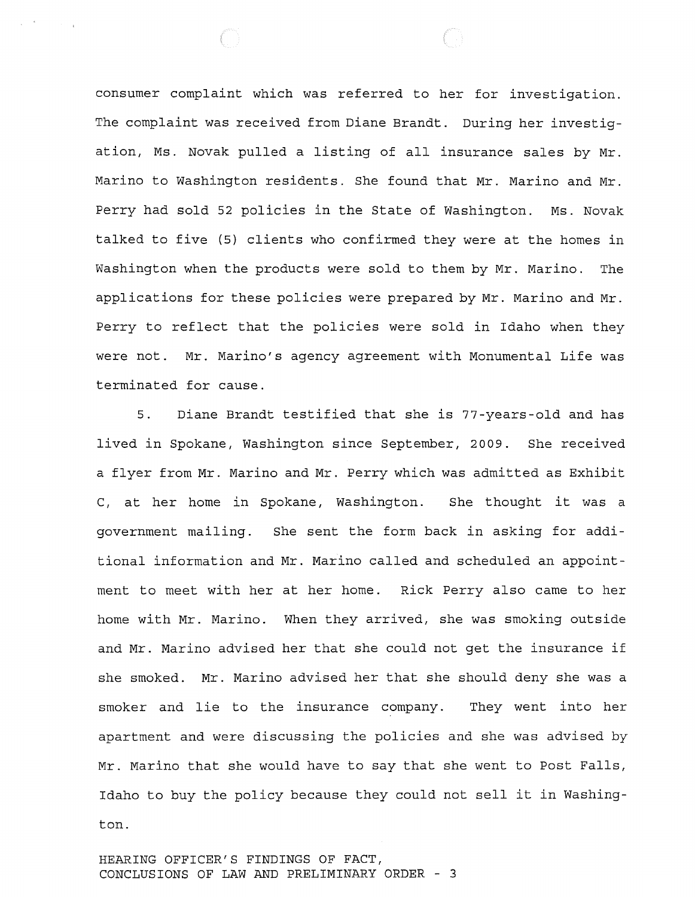consumer complaint which was referred to her for investigation. The complaint was received from Diane Brandt. During her investigation, Ms. Novak pulled a listing of all insurance sales by Mr. Marino to Washington residents. She found that Mr. Marino and Mr. Perry had sold 52 policies in the State of Washington. Ms. Novak talked to five (5) clients who confirmed they were at the homes in Washington when the products were sold to them by Mr. Marino. The applications for these policies were prepared by Mr. Marino and Mr. Perry to reflect that the policies were sold in Idaho when they were not. Mr. Marino's agency agreement with Monumental Life was terminated for cause.

5. Diane Brandt testified that she is 77-years-old and has lived in Spokane, Washington since September, 2009. She received a flyer from Mr. Marino and Mr. Perry which was admitted as Exhibit C, at her home in Spokane, Washington. She thought it was a government mailing. She sent the form back in asking for additional information and Mr. Marino called and scheduled an appointment to meet with her at her home. Rick Perry also came to her home with Mr. Marino. When they arrived, she was smoking outside and Mr. Marino advised her that she could not get the insurance if she smoked. Mr. Marino advised her that she should deny she was a smoker and lie to the insurance company. They went into her apartment and were discussing the policies and she was advised by Mr. Marino that she would have to say that she went to Post Falls, Idaho to buy the policy because they could not sell it in Washington.

HEARING OFFICER'S FINDINGS OF FACT, CONCLUSIONS OF LAW AND PRELIMINARY ORDER - 3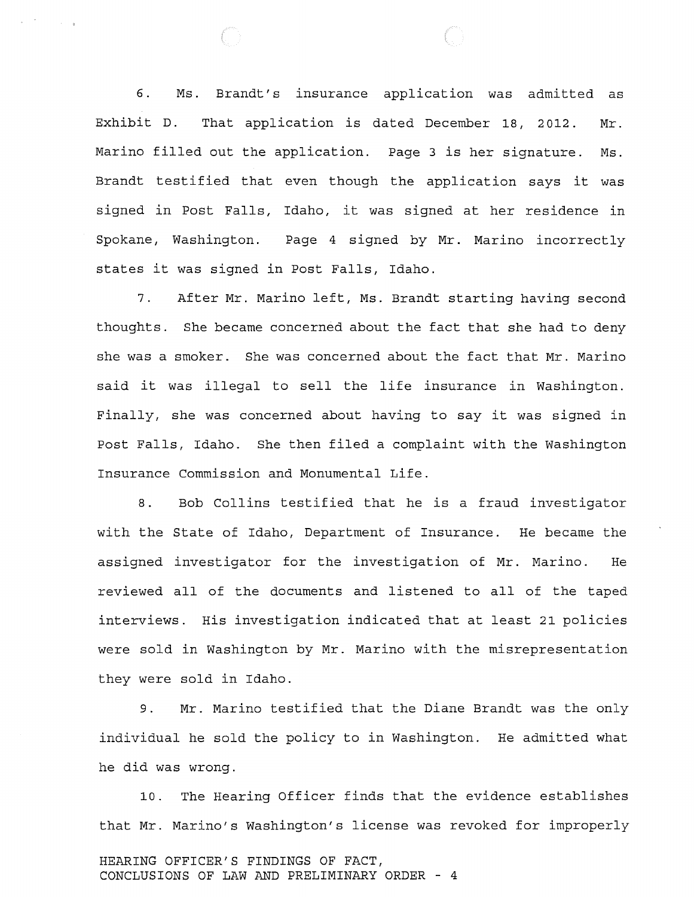6. Ms. Brandt's insurance application was admitted as Exhibit D. That application is dated December 18, 2012. Mr. Marino filled out the application. Page 3 is her signature. Ms. Brandt testified that even though the application says it was signed in Post Falls, Idaho, it was signed at her residence in Spokane, Washington. Page 4 signed by Mr. Marino incorrectly states it was signed in Post Falls, Idaho.

7. After Mr. Marino left, Ms. Brandt starting having second thoughts. She became concerned about the fact that she had to deny she was a smoker. She was concerned about the fact that Mr. Marino said it was illegal to sell the life insurance in Washington. Finally, she was concerned about having to say it was signed in Post Falls, Idaho. She then filed a complaint with the Washington Insurance Commission and Monumental Life.

8. Bob Collins testified that he is a fraud investigator with the State of Idaho, Department of Insurance. He became the assigned investigator for the investigation of Mr. Marino. He reviewed all of the documents and listened to all of the taped interviews. His investigation indicated that at least 21 policies were sold in Washington by Mr. Marino with the misrepresentation they were sold in Idaho.

9. Mr. Marino testified that the Diane Brandt was the only individual he sold the policy to in Washington. He admitted what he did was wrong.

10. The Hearing Officer finds that the evidence establishes that Mr. Marino's Washington's license was revoked for improperly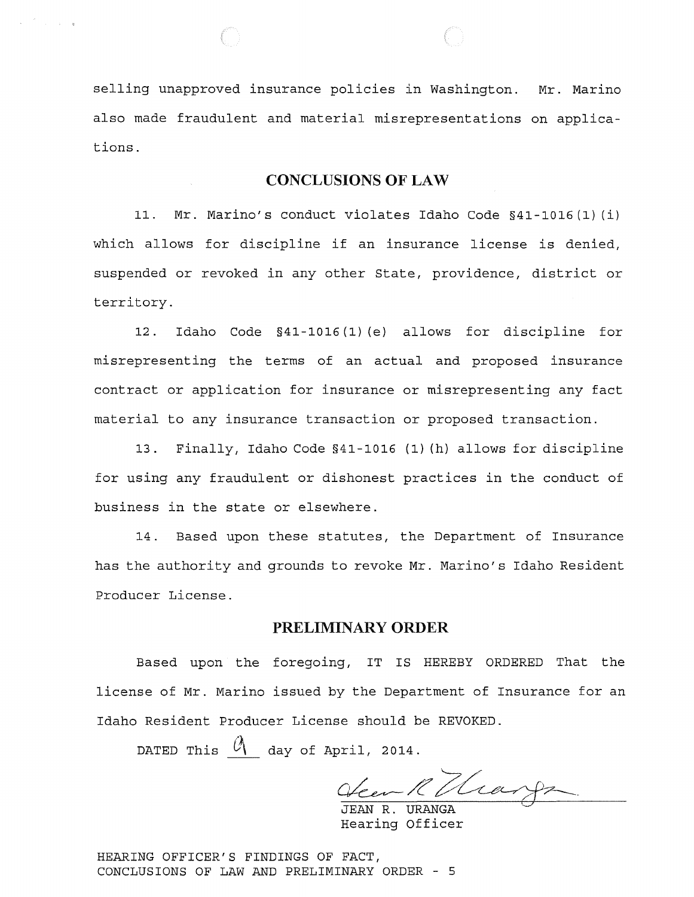selling unapproved insurance policies in Washington. Mr. Marino also made fraudulent and material misrepresentations on applica tions.

 $\label{eq:1} \mathbf{x} = \frac{\mathbf{x} - \mathbf{y}}{\mathbf{x} - \mathbf{y}} \mathbf{y} + \mathbf{y} - \mathbf{y}$ 

## CONCLUSIONS OF LAW

11. Mr. Marino's conduct violates Idaho Code §41-1016 (1) (i) which allows for discipline if an insurance license is denied, suspended or revoked in any other state, providence, district or territory.

12. Idaho Code §41-1016 (1) (e) allows for discipline for misrepresenting the terms of an actual and proposed insurance contract or application for insurance or misrepresenting any fact material to any insurance transaction or proposed transaction.

13. Finally, Idaho Code §41-1016 (1) (h) allows for discipline for using any fraudulent or dishonest practices in the conduct of business in the state or elsewhere.

14. Based upon these statutes, the Department of Insurance has the authority and grounds to revoke Mr. Marino's Idaho Resident Producer License.

# PRELIMINARY ORDER

Based upon the foregoing, IT IS HEREBY ORDERED That the license of Mr. Marino issued by the Department of Insurance for an Idaho Resident Producer License should be REVOKED.

DATED This  $\mathcal{O}_1$  day of April, 2014.

Veen R Thangs

JEAN R. URANGA Hearing Officer

HEARING OFFICER'S FINDINGS OF FACT, CONCLUSIONS OF LAW AND PRELIMINARY ORDER - 5